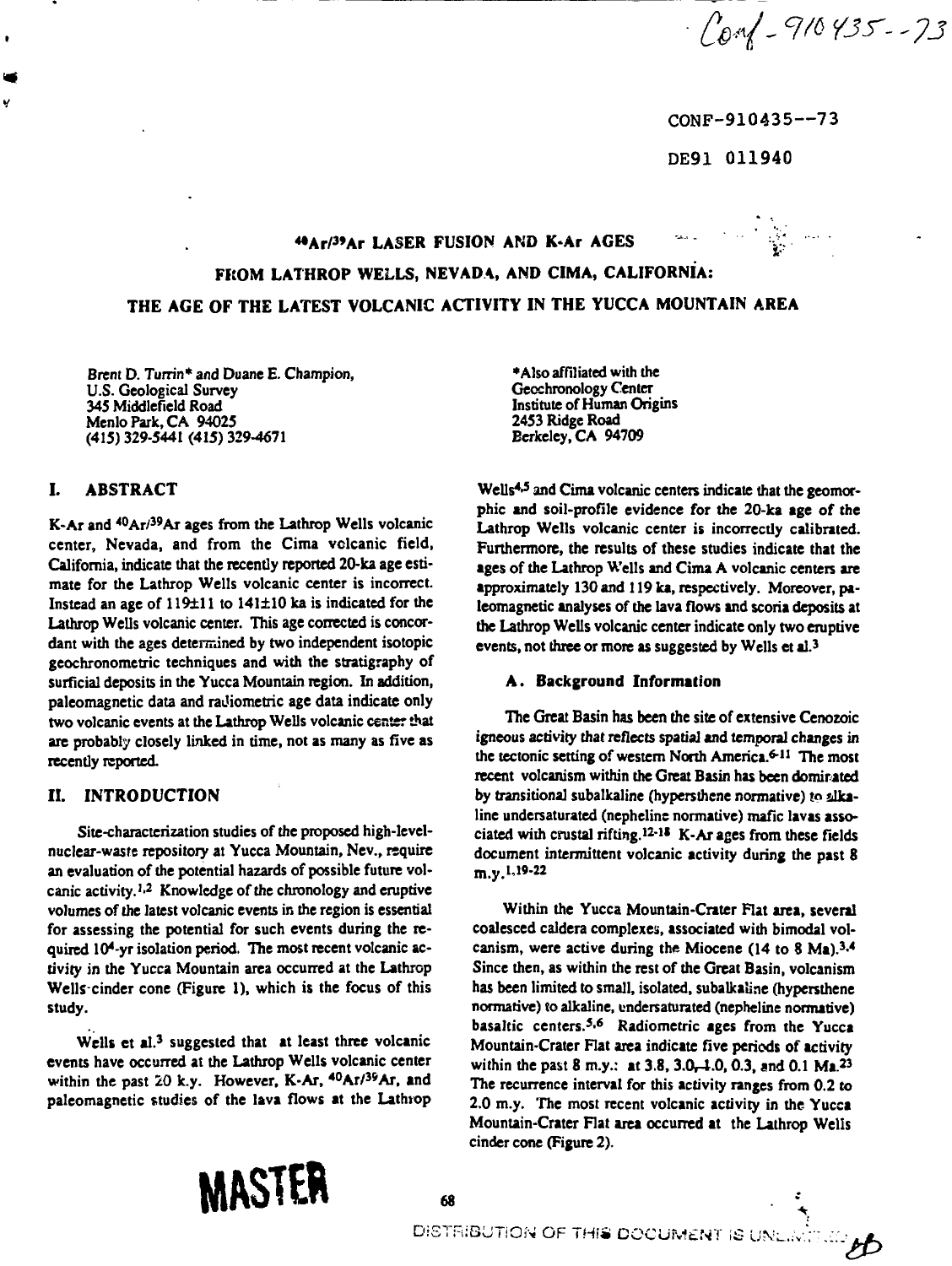$-\int_{0}^{1}1\sqrt{210435}-73$ 

CONF-910435--73

DE91 011940

### **\*\***  $\bullet$  Ar/<sup>39</sup>Ar LASER FUSION AND K-Ar AGES **Armorithment Constant Constant Constant Constant Constant Constant Constant Constant Constant Constant Constant Constant Constant Constant Constant Constant Constant Constant**

# **FKOM LATHROP WELLS, NEVADA, AND CIMA, CALIFORNIA: THE AGE OF THE LATEST VOLCANIC ACTIVITY IN THE YUCCA MOUNTAIN AREA**

**Brent D. Turrin\* and Duane E. Champion, U.S. Geological Survey 345 Middlefield Road MenloPark,CA 94025 (415) 329-5441 (415) 329-4671**

# **I. ABSTRACT**

Ÿ

**K-Ar and <sup>40</sup>Ar/<sup>39</sup>Ar ages from the Lathrop Wells volcanic center, Nevada, and from the Cima volcanic field, California, indicate that the recently reported 20-ka age estimate for the Lathrop Wells volcanic center is incorrect. Instead an age of 119±11 to 141±10 ka is indicated for the Lathrop Wells volcanic center. This age corrected is concordant with the ages determined by two independent isotopic geochronometric techniques and with the stratigraphy of surficial deposits in the Yucca Mountain region. In addition, paleomagnetic data and raJiometric age data indicate only two volcanic events at the Lathrop Wells volcanic center that are probably closely linked in time, not as many as five as recently reported.**

# **II. INTRODUCTION**

**Site-characterization studies of the proposed high-levelnuclear-waste repository at Yucca Mountain, Nev., require an evaluation of the potential hazards of possible future volcanic activity.<sup>1</sup> - 2 Knowledge of the chronology and eruptive volumes of the latest volcanic events in the region is essential for assessing the potential for such events during the required 104-yr isolation period. The most recent volcanic activity in the Yucca Mountain area occurred at the Lathrop Wells-cinder cone (Figure 1), which is the focus of this study.**

Wells et al.<sup>3</sup> suggested that at least three volcanic **events have occurred at the Lathrop Wells volcanic center within the past 20 k.y. However, K-Ar, <sup>40</sup>Ar/3sAr, and paleomagnetic studies of the lava flows at the Lathrop**

**•Also affiliated with the Gecchronology Center Institute of Human Origins 2453 Ridge Road Berkeley, CA 94709**

**Wells<sup>4</sup> - 5 and Cima volcanic centers indicate that the geomorphic and soil-profile evidence for the 20-ka age of the Lathrop Wells volcanic center is incorrectly calibrated. Furthermore, the results of these studies indicate that the ages of the Lathrop Wells and Cima A volcanic centers are approximately 130 and 119 ka, respectively. Moreover, paleomagnetic analyses of the lava flows and scoria deposits at the Lathrop Wells volcanic center indicate only two eruptive events, not three or more as suggested by Wells et al.<sup>3</sup>**

# **A. Background Information**

**The Great Basin has been the site of extensive Cenozoic igneous activity that reflects spatial and temporal changes in the tectonic setting of western North America.<sup>6</sup> \* 11 The most recent volcanism within the Great Basin has been domirated** by transitional subalkaline (hypersthene normative) to alka**line undersaturated (nepheline normative) mafic lavas associated with crustal rifting.<sup>12</sup>" <sup>11</sup> K-Ar ages from these fields document intermittent volcanic activity during the past 8 m.y.U9-22**

**Within the Yucca Mountain-Crater Flat area, several coalesced caldera complexes, associated with bimodal volcanism, were active during the Miocene (14 to 8 Ma).<sup>3</sup> - 4 Since then, as within the rest of the Great Basin, volcanism has been limited to small, isolated, subalkaline (hypersthene normative) to alkaline, undersaturated (nepheline normative) basaltic centers.<sup>5</sup> - 6 Radiometric ages from the Yucca Mountain-Crater Flat area indicate five periods of activity within the past 8 m.y.: at 3.8, 3.0^4.0,0.3, and 0.1 Ma.<sup>23</sup> The recurrence interval for this activity ranges from 0.2 to 2.0 m.y. The most recent volcanic activity in the Yucca Mountain-Crater Flat area occurred at the Lathrop Wells cinder cone (Figure 2).**

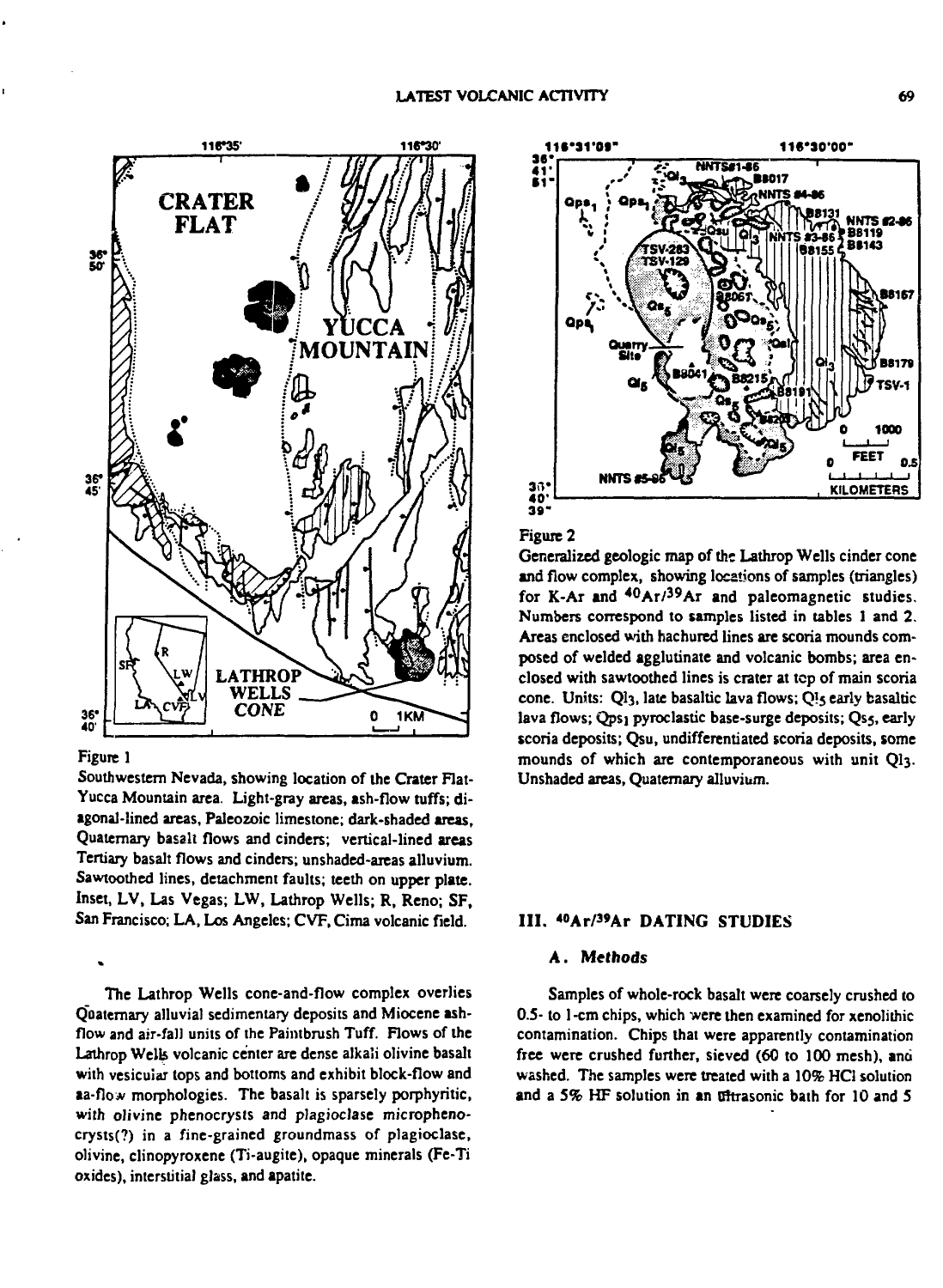

#### **Figure 1**

**Southwestern Nevada, showing location of the Crater Rat-Yucca Mountain area. Light-gray areas, ash-flow tuffs; diagonal-lined areas, Paleozoic limestone; dark-shaded areas, Quaternary basalt flows and cinders; vertical-lined areas Tertiary basalt flows and cinders; unshaded-areas alluvium. Sawtoothed lines, detachment faults; teeth on upper plate. Inset, LV, Las Vegas; LW, Lathrop Wells; R, Reno; SF, San Francisco; LA, Los Angeles; CVF, Cima volcanic field.**

**The Lathrop Wells cone-and-flow complex overlies Quaternary alluvial sedimentary deposits and Miocene ashflow and air-fall units of the Paintbrush Tuff. Flows of the Lathrop Welk volcanic center are dense alkali olivine basalt with vesicular tops and bottoms and exhibit block-flow and aa-flow morphologies. The basalt is sparsely porphyritic, with olivine phenocrysts and plagioclase microphenocrysts(?) in a fine-grained groundmass of plagioclase, olivine, clinopyroxene (Ti-augite), opaque minerals (Fe-Ti oxides), interstitial glass, and apatite.**



#### **Figure 2**

**Generalized geologic map of the Lathrop Wells cinder cone and flow complex, showing locations of samples (triangles) for K-Ar and <sup>40</sup>Ar/ 3 9Ar and paleomagnetic studies. Numbers correspond to samples listed in tables 1 and 2. Areas enclosed with hachured lines are scoria mounds composed of welded agglutinate and volcanic bombs; area enclosed with sawtoothed lines is crater at tcp of main scoria cone. Units: QI3, late basaltic lava flows;** *Q\\$* **early basaltic** lava flows; Qps<sub>1</sub> pyroclastic base-surge deposits; Qs5, early **scoria deposits; Qsu, undifferentiated scoria deposits, some mounds of which are contemporaneous with unit QI3. Unshaded areas, Quaternary alluvium.**

### **III. «°Ar/3»Ar DATING STUDIES**

#### **A. Methods**

**Samples of whole-rock basalt were coarsely crushed to 0.5- to 1-cm chips, which were then examined for xenolithic contamination. Chips that were apparently contamination free were crushed further, sieved (60 to 100 mesh), and washed. The samples were treated with a 10% HC1 solution and a 5% HF solution in an nftrasonic bath for 10 and 5**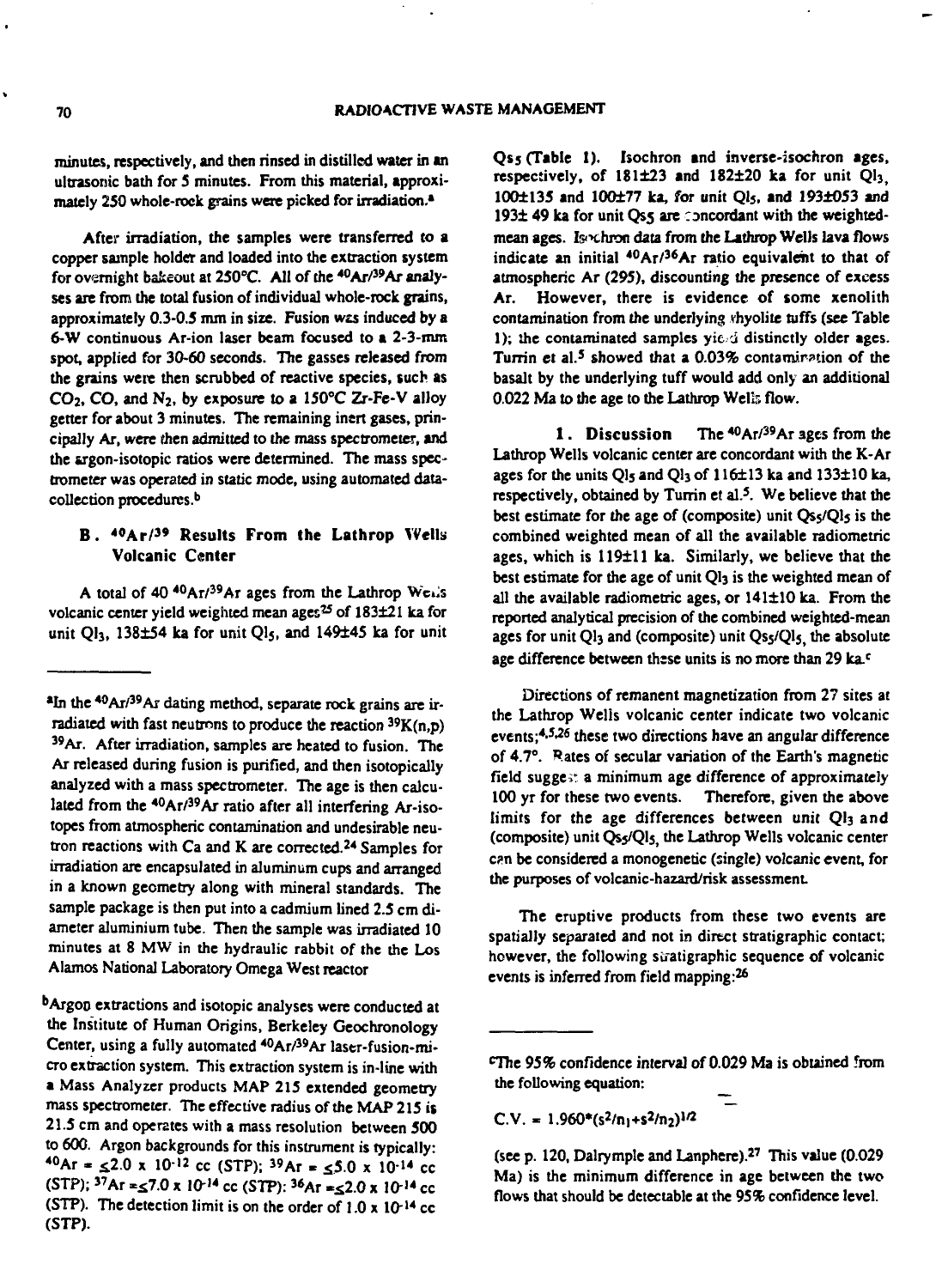**minutes, respectively, and then rinsed in distilled water in an ultrasonic bath for 5 minutes. From this material, approximately 250 whole-rock grains were picked for irradiation.<sup>1</sup>**

**After irradiation, the samples were transferred to a copper sample holder and loaded into the extraction system for overnight bakeout at 250°C. All of the <sup>40</sup>Ar/<sup>39</sup>Ar analyses are from the total fusion of individual whole-rock grains, approximately 0.3-0.5 nun in size. Fusion** *wzs* **induced by a 6-W continuous Ar-ion laser beam focused to a 2-3-mm spot, applied for 30-60 seconds. The gasses released from the grains were then scrubbed of reactive species, such as CO2, CO, and N2, by exposure to a 150°C Zr-Fe-V alloy getter for about 3 minutes. The remaining inert gases, principally Ar, were** *then* **admitted to the mass spectrometer, and the srgon-isotopic ratios were determined. The mass spectrometer was operated in static mode, using automated datacollection procedures.<sup>6</sup>**

### **B. <sup>40</sup>Ar/ <sup>3</sup> <sup>9</sup> Results From the Lathrop Volcanic Center**

**A total of 40 <sup>40</sup>Ar/<sup>39</sup>Ar ages from the Lathrop Weiis volcanic center yield weighted mean ages<sup>25</sup> of 183121 lea for** unit Ql<sub>3</sub>, 138±54 ka for unit Ql<sub>5</sub>, and 149±45 ka for unit **(Table 1). Isochron and inverse-isochron ages, respectively, of 181123 and 182120 ka for unit Ql3, 1001135 and 100177 ka, for unit Ql<sup>s</sup> , and 1931053 and** 193± 49 ka for unit Qs5 are concordant with the weighted**mean ages. Is<>chron data from the Lathrop Wells lava flows indicate an initial <sup>40</sup>Ar/<sup>36</sup>Ar ratio equivalent to that of atmospheric Ar (295), discounting the presence of excess Ar. However, there is evidence of some xenolith contamination from the underlying rhyolite tuffs (see Table 1); ihe contaminated samples yic i distinctly older ages.** Turrin et al.<sup>5</sup> showed that a 0.03% contamination of the **basalt by the underlying tuff would add only an additional 0.022 Ma to the age to the Lathrop Wclir, flow.**

**1. Discussion <sup>40</sup>Ar/<sup>39</sup>Ar ages from the Lathrop Wells volcanic center are concordant with the K-Ar** ages for the units Ql<sub>5</sub> and Ql<sub>3</sub> of 116±13 ka and 133±10 ka, **respectively, obtained by Turrin et al.<sup>5</sup> . We believe that the best estimate for the age of (composite) unit QS5/QI5 is the combined weighted mean of all the available radiometric** ages, which is 119±11 ka. Similarly, we believe that the **best estimate for the age of unit QI3 is the weighted mean of all the available radiometric ages, or 141110 ka. From the reported analytical precision of the combined weighted-mean ages for unit QI3 and (composite) unit Qsj/Qlj, the absolute age difference between thsse units is no more than 29 ka.<sup>c</sup>**

**Directions of remanent magnetization from 27 sites at the Lathrop Welis volcanic center indicate two volcanic events;<sup>4</sup> - 5 \* 26 these two directions have an angular difference of 4.7°. Rates of secular variation of the Earth's magnetic field sugge," a minimum age difference of approximately 100 yr for these two events. Therefore, given the above limits for the age differences between unit QI3 and (composite) unit Qss/Qls, the Lathrop Wells volcanic center c?n be considered a monogenetic (single) volcanic event, for the purposes of volcanic-hazard/risk assessment**

**The eruptive products from these two events are spatially separated and not in direct stratigraphic contact; however, the following siratigraphic sequence of volcanic events is inferred from field mapping:<sup>26</sup>**

 $C.V. = 1.960*(s^2/n_1+s^2/n_2)^{1/2}$ 

**<sup>\*</sup>In the <sup>40</sup>Ar/<sup>39</sup>Ar dating method, separate rock grains are irradiated with fast neutrons to produce the reaction <sup>39</sup>K(n,p) 3 9AT. After irradiation, samples are heated to fusion. The Ar released during fusion is purified, and then isotopically analyzed with a mass spectrometer. The age is then calculated from the <sup>40</sup>Ar/<sup>39</sup>Ar ratio after all interfering Ar-isotopes from atmospheric contamination and undesirable neutron reactions with Ca and K are corrected.<sup>24</sup> Samples for irradiation are encapsulated in aluminum cups and arranged in a known geometry along with mineral standards. The sample package is then put into a cadmium lined 2.5 cm diameter aluminium tube. Then the sample was irradiated 10 minutes at 8 MW in the hydraulic rabbit of the the Los Alamos National Laboratory Omega West reactor**

**b Argon extractions and isotopic analyses were conducted at the Institute of Human Origins, Berkeley Geochronology Center, using a fully automated <sup>40</sup>Ar/<sup>39</sup>Ar laser-fusion-micro extraction system. This extraction system is in-line with a Mass Analyzer products MAP 215 extended geometry mass spectrometer. The effective radius of the MAP 215 is 21.5 cm and operates with a mass resolution between 500 to 600. Argon backgrounds for this instrument is typically:**  $^{40}$ Ar =  $\leq 2.0$  x 10<sup>-12</sup> cc (STP); <sup>39</sup>Ar =  $\lt 5.0$  x 10<sup>-14</sup> cc  $(STP)$ ;  ${}^{37}Ar = 57.0 \times 10^{-14}$  cc  $(STP)$ :  ${}^{36}Ar = 2.0 \times 10^{-14}$  cc **(STP).** The detection limit is on the order of  $1.0 \times 10^{-14}$  cc **(STP).**

**The 95% confidence interval of 0.029 Ma is obtained from the following equation:**

**<sup>(</sup>see p. 120, Dairymple and Lanphere).<sup>27</sup> This value (0.029 Ma) is the minimum difference in age between the two flows that should be detectable at the 95% confidence level.**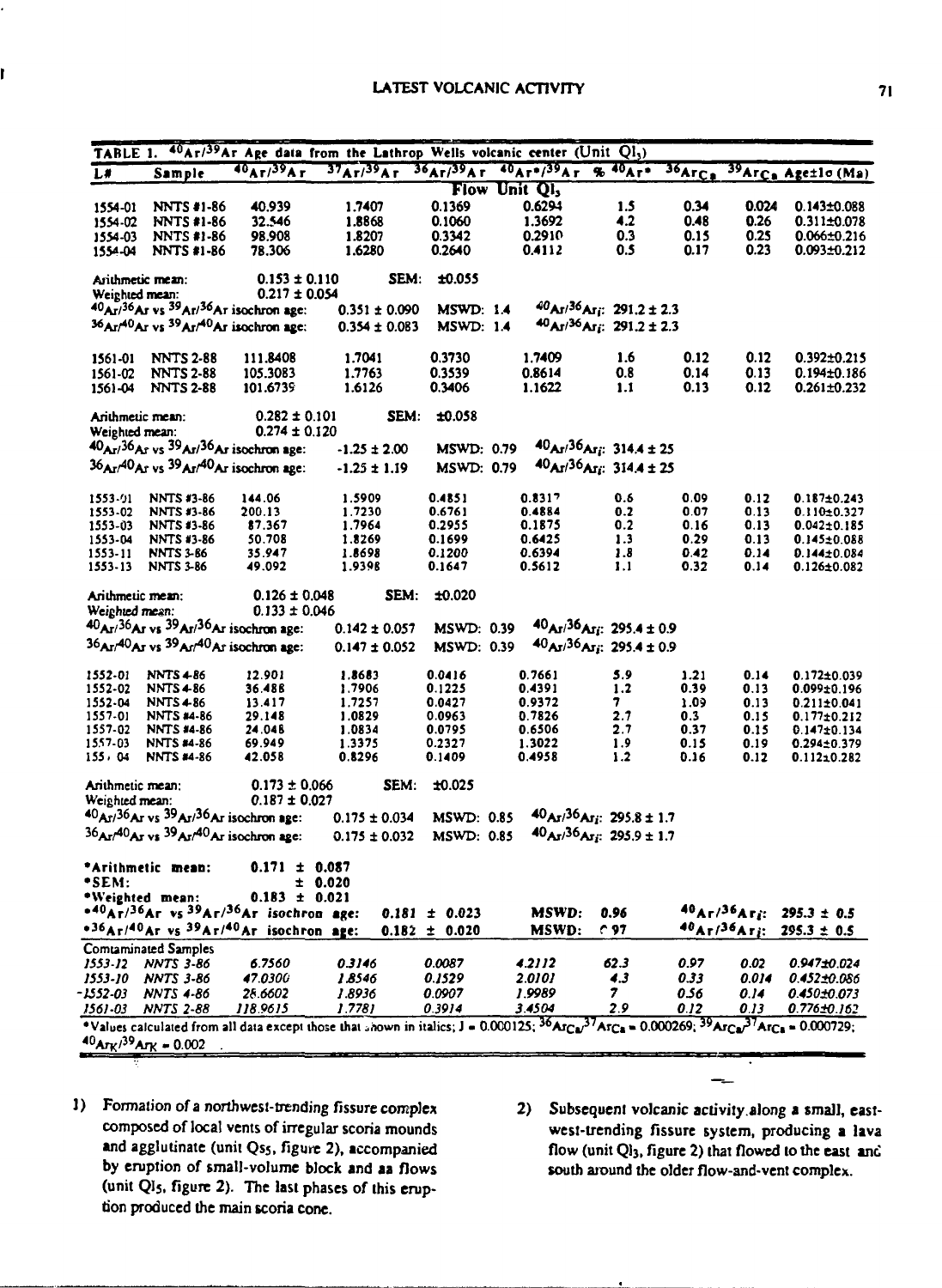|                  |                                                                                  |                                                                                   |                   |                   | TABLE 1. <sup>40</sup> Ar/ <sup>39</sup> Ar Age data from the Lathrop Wells volcanic center (Unit Ql <sub>3</sub> )                                                           |                                               |        |       |                                         |
|------------------|----------------------------------------------------------------------------------|-----------------------------------------------------------------------------------|-------------------|-------------------|-------------------------------------------------------------------------------------------------------------------------------------------------------------------------------|-----------------------------------------------|--------|-------|-----------------------------------------|
| L#               | Sample                                                                           |                                                                                   |                   |                   | $40A1/39A1$ $37A1/39A1$ $36A1/39A1$ $40A1*/39A1$ % $40A1*$                                                                                                                    |                                               | 36ArCa |       | <sup>39</sup> Arca Age±lo (Ma)          |
|                  |                                                                                  |                                                                                   |                   |                   | Flow Unit QI <sub>3</sub>                                                                                                                                                     |                                               |        |       |                                         |
| 1554-01          | <b>NNTS #1-86</b>                                                                | 40.939                                                                            | 1.7407            | 0.1369            | 0.6294                                                                                                                                                                        | 1.5                                           | 0.34   | 0.024 | $0.143 \pm 0.088$                       |
| 1554-02          | <b>NNTS #1-86</b>                                                                | 32.546                                                                            | 1.8868            | 0.1060            | 1.3692                                                                                                                                                                        | 4.2                                           | 0.48   | 0.26  | 0.311±0.078                             |
| 1554-03          | <b>NNTS #1-86</b>                                                                | 98.908                                                                            | 1.8207            | 0.3342            | 0.2910                                                                                                                                                                        | 0.3                                           | 0.15   | 0.25  | $0.066 \pm 0.216$                       |
| 1554-04          | <b>NNTS #1-86</b>                                                                | 78.306                                                                            | 1.6280            | 0.2640            | 0.4112                                                                                                                                                                        | 0.5                                           | 0.17   | 0.23  | 0.093±0.212                             |
|                  | Arithmetic mean:                                                                 | $0.153 \pm 0.110$                                                                 | SEM:              | ±0.055            |                                                                                                                                                                               |                                               |        |       |                                         |
| Weighted mean:   |                                                                                  | $0.217 \pm 0.054$                                                                 |                   |                   |                                                                                                                                                                               |                                               |        |       |                                         |
|                  | $40_{\text{Ar}}/36_{\text{Ar}}$ vs $39_{\text{Ar}}/36_{\text{Ar}}$ isochron age: |                                                                                   | $0.351 \pm 0.090$ | <b>MSWD: 1.4</b>  |                                                                                                                                                                               | $40A1/36A1; 291.2 \pm 2.3$                    |        |       |                                         |
|                  | 36Ar/40Ar vs <sup>39</sup> Ar/ <sup>40</sup> Ar isochron age:                    |                                                                                   | $0.354 \pm 0.083$ | <b>MSWD: 1.4</b>  |                                                                                                                                                                               | $40$ Ar/36Ar <sub>i</sub> : 291.2 ± 2.3       |        |       |                                         |
| 1561-01          | <b>NNTS 2-88</b>                                                                 | 111.8408                                                                          | 1.7041            | 0.3730            | 1.7409                                                                                                                                                                        | 1.6                                           | 0.12   | 0.12  | $0.392 \pm 0.215$                       |
| 1561-02          | <b>NNTS 2-88</b>                                                                 | 105.3083                                                                          | 1.7763            | 0.3539            | 0.8614                                                                                                                                                                        | 0.8                                           | 0.14   | 0.13  | 0.194±0.186                             |
| 1561-04          | <b>NNTS 2-88</b>                                                                 | 101.6739                                                                          | 1.6126            | 0.3406            | 1.1622                                                                                                                                                                        | 1.1                                           | 0.13   | 0.12  | 0.261±0.232                             |
| Arithmetic mean: |                                                                                  | $0.282 \pm 0.101$                                                                 |                   | SEM: ±0.058       |                                                                                                                                                                               |                                               |        |       |                                         |
| Weighted mean:   |                                                                                  | $0.274 \pm 0.120$                                                                 |                   |                   |                                                                                                                                                                               |                                               |        |       |                                         |
|                  | 40Ar/36Ar vs 39Ar/36Ar isochron age:                                             |                                                                                   | $-1.25 \pm 2.00$  |                   | MSWD: 0.79 $40_{\text{Ar}}/36_{\text{Ar}}$ : 314.4 ± 25                                                                                                                       |                                               |        |       |                                         |
|                  | $36A1740A2$ vs $39A1740A1$ isochron age:                                         |                                                                                   | $-1.25 \pm 1.19$  | <b>MSWD: 0.79</b> |                                                                                                                                                                               | $40A1/36A1$ ; 314.4 ± 25                      |        |       |                                         |
|                  |                                                                                  |                                                                                   |                   |                   |                                                                                                                                                                               |                                               |        |       |                                         |
| 1553-91          | <b>NNTS #3-86</b>                                                                | 144.06                                                                            | 1.5909            | 0.4851            | 0.8317                                                                                                                                                                        | 0.6                                           | 0.09   | 0.12  | $0.187 \pm 0.243$                       |
| 1553-02          | <b>NNTS #3-86</b>                                                                | 200.13                                                                            | 1.7230            | 0.6761            | 0.4884                                                                                                                                                                        | 0.2                                           | 0.07   | 0.13  | $0.110 \pm 0.327$                       |
| 1553-03          | <b>NNTS #3-86</b>                                                                | 87.367                                                                            | 1.7964            | 0.2955            | 0.1875                                                                                                                                                                        | 0.2                                           | 0.16   | 0.13  | $0.042 \pm 0.185$                       |
| 1553-04          | <b>NNTS #3-86</b>                                                                | 50.708                                                                            | 1.8269            | 0.1699            | 0.6425                                                                                                                                                                        | 1.3                                           | 0.29   | 0.13  | 0.145±0.088                             |
| 1553-11          | <b>NNTS 3-86</b>                                                                 | 35.947                                                                            | 1.8698            | 0.1200            | 0.6394                                                                                                                                                                        | 1.8                                           | 0.42   | 0.14  | 0.144±0.084                             |
| 1553-13          | <b>NNTS 3-86</b>                                                                 | 49.092                                                                            | 1.9396            | 0.1647            | 0.5612                                                                                                                                                                        | 1.1                                           | 0.32   | 0.14  | <b>0.126±0.082</b>                      |
| Arithmetic mean: |                                                                                  | $0.126 \pm 0.048$                                                                 |                   | SEM: ±0.020       |                                                                                                                                                                               |                                               |        |       |                                         |
| Weighted mean:   |                                                                                  | $0.133 \pm 0.046$                                                                 |                   |                   |                                                                                                                                                                               |                                               |        |       |                                         |
|                  | 40Ar/36Ar vs 39Ar/36Ar isochron age:                                             |                                                                                   | $0.142 \pm 0.057$ | <b>MSWD: 0.39</b> |                                                                                                                                                                               | $40$ Ar/36Arj: 295.4 ± 0.9                    |        |       |                                         |
|                  | 36Ar/40Ar vs 39Ar/40Ar isochron age:                                             |                                                                                   | $0.147 \pm 0.052$ | <b>MSWD: 0.39</b> |                                                                                                                                                                               | $40_{\text{Ar}}/36_{\text{Ar}}$ ; 295.4 ± 0.9 |        |       |                                         |
|                  |                                                                                  |                                                                                   |                   |                   |                                                                                                                                                                               |                                               |        |       |                                         |
| 1552-01          | <b>NNTS4-86</b>                                                                  | 12.901                                                                            | 1.8683            | 0.0416            | 0.7661                                                                                                                                                                        | 5.9                                           | 1.21   | 0.14  | $0.172 \pm 0.039$                       |
| 1552-02          | <b>NNTS4-86</b>                                                                  | 36.488                                                                            | 1.7906            | 0.1225            | 0.4391                                                                                                                                                                        | 1.2                                           | 0.39   | 0.13  | 0.099±0.196                             |
| 1552-04          | <b>NNTS4-86</b>                                                                  | 13.417                                                                            | 1.7257            | 0.0427            | 0.9372                                                                                                                                                                        | 7                                             | 1.09   | 0.13  | $0.211 \pm 0.041$                       |
| 1557-01          | <b>NNTS #4-86</b>                                                                | 29.148                                                                            | 1.0829            | 0.0963            | 0.7826                                                                                                                                                                        | 2.7                                           | 0.3    | 0.15  | $0.177 \pm 0.212$                       |
| 1557-02          | <b>NNTS #4-86</b>                                                                | 24.048                                                                            | 1.0834            | 0.0795            | 0.6506                                                                                                                                                                        | 2.7                                           | 0.37   | 0.15  | $0.147 \pm 0.134$                       |
| 1557-03          | <b>NNTS #4-86</b>                                                                | 69.949                                                                            | 1.3375            | 0.2327            | 1.3022                                                                                                                                                                        | 1.9                                           | 0.15   | 0.19  | $0.294 \pm 0.379$                       |
| 155, 04          | <b>NNTS #4-86</b>                                                                | 42.058                                                                            | 0.8296            | 0.1409            | 0.4958                                                                                                                                                                        | $1.2$                                         | 0.16   | 0.12  | 0.11210.282                             |
| Arithmetic mean: |                                                                                  | $0.173 \pm 0.066$                                                                 | SEM.              | ±0.025            |                                                                                                                                                                               |                                               |        |       |                                         |
| Weighted mean:   |                                                                                  | $0.187 \pm 0.027$                                                                 |                   |                   |                                                                                                                                                                               |                                               |        |       |                                         |
|                  | 40Ar/36Ar vs 39Ar/36Ar isochron age:                                             |                                                                                   | $0.175 \pm 0.034$ | <b>MSWD: 0.85</b> |                                                                                                                                                                               | $40AJ/36AJ$ : 295.8 ± 1.7                     |        |       |                                         |
|                  |                                                                                  | $36$ Ar/ $40$ Ar vs $39$ Ar/ $40$ Ar isochron age:                                | $0.175 \pm 0.032$ | MSWD: 0.85        |                                                                                                                                                                               | $40_{\text{Ar}}/36_{\text{Ar}}$ ; 295.9 ± 1.7 |        |       |                                         |
|                  |                                                                                  |                                                                                   |                   |                   |                                                                                                                                                                               |                                               |        |       |                                         |
| •SEM:            | *Arithmetic mean:                                                                | $0.171 \pm 0.087$<br>± 0.020                                                      |                   |                   |                                                                                                                                                                               |                                               |        |       |                                         |
|                  | *Weighted mean:                                                                  | $0.183 \pm 0.021$                                                                 |                   |                   |                                                                                                                                                                               |                                               |        |       |                                         |
|                  |                                                                                  | $*40_{\text{Ar}}/36_{\text{Ar}}$ vs $39_{\text{Ar}}/36_{\text{Ar}}$ isochron age: |                   | $0.181 \pm 0.023$ | MSWD:                                                                                                                                                                         | 0.96                                          |        |       | $40$ Ar/36Ar <sub>i</sub> : 295.3 ± 0.5 |
|                  |                                                                                  | *36Ar/40Ar vs 39Ar/40Ar isochron age:                                             |                   | $0.182 \pm 0.020$ | MSWD:                                                                                                                                                                         | C.97                                          |        |       | $40A\tau/36A\tau$ i: 295.3 ± 0.5        |
|                  | <b>Comtaminated Samples</b>                                                      |                                                                                   |                   |                   |                                                                                                                                                                               |                                               |        |       |                                         |
|                  | 1553-12 NNTS 3-86                                                                | 6.7560                                                                            | 0.3146            | 0.0087            | 4.2112                                                                                                                                                                        | 62.3                                          | 0.97   | 0.02  | 0.947±0.024                             |
|                  | 1553-10 NNTS 3-86                                                                | 47.0300                                                                           | 1.8546            | 0.1529            | 2.0101                                                                                                                                                                        | 4.3                                           | 0.33   | 0.014 | 0.452±0.086                             |
| - 2552-03        | <b>NNTS 4-86</b>                                                                 | 28.6602                                                                           | 1.8936            | 0.0907            | 1.9989                                                                                                                                                                        | 7.                                            | 0.56   | 0.14  | 0.450±0.073                             |
|                  | 1561-03 NNTS 2-88                                                                | 118.9615                                                                          | 1.7781            | 0.3914            | 3.4504                                                                                                                                                                        | 2.9                                           | 0.12   | 0.13  | 0.776±0.162                             |
|                  |                                                                                  |                                                                                   |                   |                   | *Values calculated from all data except those that shown in italics; $J = 0.000125$ ; ${}^{36}Ar_{Cu}{}^{37}Ar_{Ca} = 0.000269$ ; ${}^{39}Ar_{Ca}{}^{37}Ar_{Ca} = 0.000729$ ; |                                               |        |       |                                         |
|                  | $40$ Ark/39Ark = 0.002                                                           |                                                                                   |                   |                   |                                                                                                                                                                               |                                               |        |       |                                         |
|                  |                                                                                  |                                                                                   |                   |                   |                                                                                                                                                                               |                                               |        |       |                                         |

- **]) Formation of a northwesi-trending fissure complex composed of local vents of irregular scoria mounds and agglutinate (unii Qss, figure 2), accompanied by eruption of small-volume block and aa flows (unit QI5. figure 2). The last phases of this eruption produced the main scoria cone.**
- **2) Subsequent volcanic activity along a small, eastwest-trending fissure system, producing a lava** flow (unit Ql<sub>3</sub>, figure 2) that flowed to the east and **south around the older flow-and-vent complex.**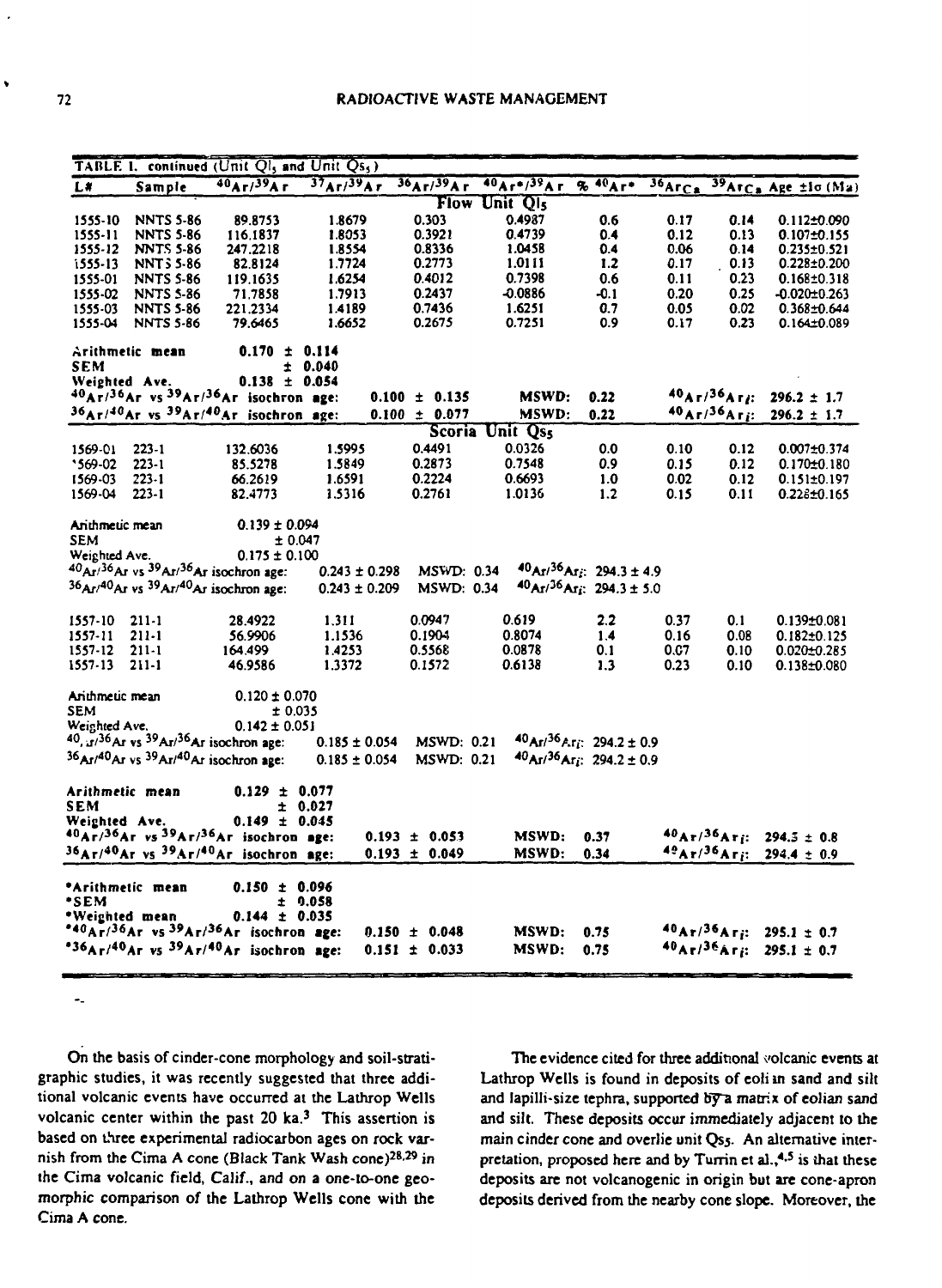|                 |                   | TABLE 1. continued (Unit $Q_1$ , and Unit $Q_{5}$ )                        |                   |                   |                  |                                                      |                     |                                     |                                          |
|-----------------|-------------------|----------------------------------------------------------------------------|-------------------|-------------------|------------------|------------------------------------------------------|---------------------|-------------------------------------|------------------------------------------|
| $L*$            | Sample            | $40$ Ar/39Ar                                                               | $37A$ r/ $39A$ r  | $36$ Ar/ $39$ Ar  | $40Ar$ */ $39Ar$ | $% 40Ar +$                                           | $36_{\text{ArC}_2}$ |                                     | $39$ Arc <sub>a</sub> Age $\pm 1$ o (Ma) |
|                 |                   |                                                                            |                   |                   | Flow Unit QIS    |                                                      |                     |                                     |                                          |
| 1555-10         | <b>NNTS 5-86</b>  | 89.8753                                                                    | 1.8679            | 0.303             | 0.4987           | 0.6                                                  | 0.17                | 0.14                                | $0.112 \pm 0.090$                        |
| $1555 - 11$     | <b>NNTS 5-86</b>  | 116.1837                                                                   | 1.8053            | 0.3921            | 0.4739           | 0.4                                                  | 0.12                | 0.13                                | $0.107 + 0.155$                          |
| 1555-12         | <b>NNTS 5-86</b>  | 247.2218                                                                   | 1.8554            | 0.8336            | 1.0458           | 04                                                   | 0.06                | 0.14                                | $0.235 \pm 0.521$                        |
| 1555-13         | <b>NNT 5 5-86</b> | 82.8124                                                                    | 1.7724            | 0.2773            | 1.0111           | 1.2                                                  | 0.17                | 0.13                                | $0.228 \pm 0.200$                        |
| 1555-01         | <b>NNTS 5-86</b>  | 119.1635                                                                   | 1.6254            | 0.4012            | 0.7398           | 0.6                                                  | 0.11                | 0.23                                | $0.168 \pm 0.318$                        |
| 1555-02         | <b>NNTS 5-86</b>  | 71.7858                                                                    | 1.7913            | 0.2437            | $-0.0886$        | $-0.1$                                               | 0.20                | 0.25                                | $-0.020 \pm 0.263$                       |
| 1555-03         | <b>NNTS 5-86</b>  | 221.2334                                                                   | 1.4189            | 0.7436            | 1.6251           | 0.7                                                  | 0.05                | 0.02                                | $0.368 \pm 0.644$                        |
| 1555-04         | <b>NNTS 5-86</b>  | 79.6465                                                                    | 1.6652            | 0.2675            | 0.7251           | 0.9                                                  | 0.17                | 0.23                                | $0.164 \pm 0.089$                        |
|                 | Arithmetic mean   | $0.170 \pm 0.114$                                                          |                   |                   |                  |                                                      |                     |                                     |                                          |
| SEM             |                   |                                                                            | ± 0.040           |                   |                  |                                                      |                     |                                     |                                          |
| Weighted Ave.   |                   | $0.138 \pm 0.054$                                                          |                   |                   |                  |                                                      |                     |                                     |                                          |
|                 |                   | $40Ar/36Ar$ vs $39Ar/36Ar$ isochron age:                                   |                   | $0.100 \pm 0.135$ | MSWD:            | 0.22                                                 |                     | 40A <sub>F</sub> /36A <sub>F</sub>  | $296.2 \pm 1.7$                          |
|                 |                   | $36Ar/40Ar$ vs $39Ar/40Ar$ isochron age:                                   |                   | $0.100 \pm 0.077$ | MSWD:            | 0.22                                                 |                     | 40A <sub>F</sub> /36A <sub>Fj</sub> | $296.2 \pm 1.7$                          |
|                 |                   |                                                                            |                   | <b>Scoria</b>     | Unit Qss         |                                                      |                     |                                     |                                          |
| 1569-01         | $223 - 1$         | 132.6036                                                                   | 1.5995            | 0.4491            | 0.0326           | 0.0                                                  | 0.10                | 0.12                                | $0.007 \pm 0.374$                        |
| $569-02$        | $223 - 1$         | 85.5278                                                                    | 1.5849            | 0.2873            | 0.7548           | 0.9                                                  | 0.15                | 0.12                                | $0.170 \pm 0.180$                        |
| 1569-03         | $223 - 1$         | 66.2619                                                                    | 1.6591            | 0.2224            | 0.6693           | 1.0                                                  | 0.02                | 0.12                                | $0.151 \pm 0.197$                        |
| 1569-04         | 223-1             | 82.4773                                                                    | 1.5316            | 0.2761            | 1.0136           | $1.2$                                                | 0.15                | 0.11                                | $0.228 \pm 0.165$                        |
|                 |                   |                                                                            |                   |                   |                  |                                                      |                     |                                     |                                          |
| Anthmetic mean  |                   | $0.139 \pm 0.094$                                                          |                   |                   |                  |                                                      |                     |                                     |                                          |
| <b>SEM</b>      |                   | ± 0.047                                                                    |                   |                   |                  |                                                      |                     |                                     |                                          |
| Weighted Ave.   |                   | $0.175 \pm 0.100$                                                          |                   |                   |                  |                                                      |                     |                                     |                                          |
|                 |                   | $40AF/36AF$ vs $39AF/36AF$ isochron age:                                   | $0.243 \pm 0.298$ | MSWD: 0.34        |                  | $40$ Ar/ <sup>36</sup> Arg: 294.3 ± 4.9              |                     |                                     |                                          |
|                 |                   | 36Ar/40Ar vs 39Ar/40Ar isochron age:                                       | $0.243 \pm 0.209$ | <b>MSWD: 0.34</b> |                  | $40$ Ar/36Arg: 294.3 ± 5.0                           |                     |                                     |                                          |
| 1557-10         | $211-1$           | 28.4922                                                                    | 1.311             | 0.0947            | 0.619            | 2.2                                                  | 0.37                | 0.1                                 | $0.139 \pm 0.081$                        |
| 1557-11         | $211-1$           | 56.9906                                                                    | 1.1536            | 0.1904            | 0.8074           | 1.4                                                  | 0.16                | 0.08                                | $0.182 \pm 0.125$                        |
| 1557-12         | $211-1$           | 164.499                                                                    | 1.4253            | 0.5568            | 0.0878           | 0.1                                                  | <b>0.C7</b>         | 0.10                                | $0.020 \pm 0.285$                        |
| 1557-13         | $211-1$           | 46.9586                                                                    | 1.3372            | 0.1572            | 0.6138           | 1.3                                                  | 0.23                | 0.10                                | $0.138 \pm 0.080$                        |
|                 |                   |                                                                            |                   |                   |                  |                                                      |                     |                                     |                                          |
| Anthmetic mean  |                   | $0.120 \pm 0.070$                                                          |                   |                   |                  |                                                      |                     |                                     |                                          |
| <b>SEM</b>      |                   | ±0.035                                                                     |                   |                   |                  |                                                      |                     |                                     |                                          |
| Weighted Ave.   |                   | $0.142 \pm 0.051$                                                          |                   |                   |                  |                                                      |                     |                                     |                                          |
|                 |                   | $40.17^{36}$ Ar vs $39$ Ar/ $36$ Ar isochron age:                          | $0.185 \pm 0.054$ | <b>MSWD: 0.21</b> |                  | $40$ Ar/ $36$ Ar <sub>i</sub> : 294.2 ± 0.9          |                     |                                     |                                          |
|                 |                   | $36$ Ar/ <sup>40</sup> Ar vs $39$ Ar/ <sup>40</sup> Ar isochron age:       | $0.185 \pm 0.054$ | <b>MSWD: 0.21</b> |                  | $40$ Ar/ <sup>36</sup> Ar <sub>i</sub> : 294.2 ± 0.9 |                     |                                     |                                          |
| Arithmetic mean |                   | $0.129 \pm 0.077$                                                          |                   |                   |                  |                                                      |                     |                                     |                                          |
| SEM             |                   | ± 0.027                                                                    |                   |                   |                  |                                                      |                     |                                     |                                          |
| Weighted Ave.   |                   | $0.149 \pm 0.045$                                                          |                   |                   |                  |                                                      |                     |                                     |                                          |
|                 |                   | 40Ar/36Ar vs 39Ar/36Ar isochron age:                                       |                   | $0.193 \pm 0.053$ | MSWD:            | 0.37                                                 |                     | $40_{\rm Ar}/36_{\rm Ar}$ :         | $294.5 \pm 0.8$                          |
|                 |                   | 36Ar/ <sup>40</sup> Ar vs <sup>39</sup> Ar/ <sup>40</sup> Ar isochron age: |                   | $0.193 \pm 0.049$ | MSWD:            | 0.34                                                 |                     | 49Ar/36Ari                          | $294.4 \pm 0.9$                          |
|                 |                   |                                                                            |                   |                   |                  |                                                      |                     |                                     |                                          |
|                 | *Arithmetic mean  | $0.150 \pm 0.096$                                                          |                   |                   |                  |                                                      |                     |                                     |                                          |
| *SEM            |                   | ± 0.058                                                                    |                   |                   |                  |                                                      |                     |                                     |                                          |
| *Weighted mean  |                   | $0.144 \pm 0.035$                                                          |                   |                   |                  |                                                      |                     |                                     |                                          |
|                 |                   | *40Ar/36Ar vs 39Ar/36Ar isochron age:                                      |                   | $0.150 \pm 0.048$ | MSWD:            | 0.75                                                 |                     |                                     | $40Ar/36Ar$ i: 295.1 ± 0.7               |
|                 |                   | *36Ar/40Ar vs $39Ar/40Ar$ isochron age:                                    |                   | $0.151 \pm 0.033$ | MSWD:            | 0.75                                                 |                     |                                     | $40$ Ar/36Ar <sub>i</sub> : 295.1 ± 0.7  |
|                 |                   |                                                                            |                   |                   |                  |                                                      |                     |                                     |                                          |

 $\omega_{\rm m}$ 

**On the basis of cinder-cone morphology and soil-stratigraphic studies, it was recently suggested that three additional volcanic events have occurred at the Lathrop Wells volcanic center within the past 20 ka.<sup>3</sup> This assertion is based on three experimental radiocarbon ages on rock varnish from the Cima A cone (Black Tank Wash cone)<sup>28</sup> - 29 in the Cima volcanic field, Calif., and on a one-to-one geomorphic comparison of the Lathrop Wells cone with the Cima A cone.**

**The evidence cited for three additional volcanic events at Lathrop Wells is found in deposits of eoli m sand and silt and lapilli-size tephra, supported By~a matrix of eolian sand and silt. These deposits occur immediately adjacent to the main cinder cone and overlie unit Qsj. An alternative interpretation, proposed here and by Turrin et al.,<sup>4</sup> - 5 is ihat these deposits are not volcanogenic in origin but are cone-apron deposits derived from the nearby cone slope. Moreover, the**

 $\ddot{\phantom{0}}$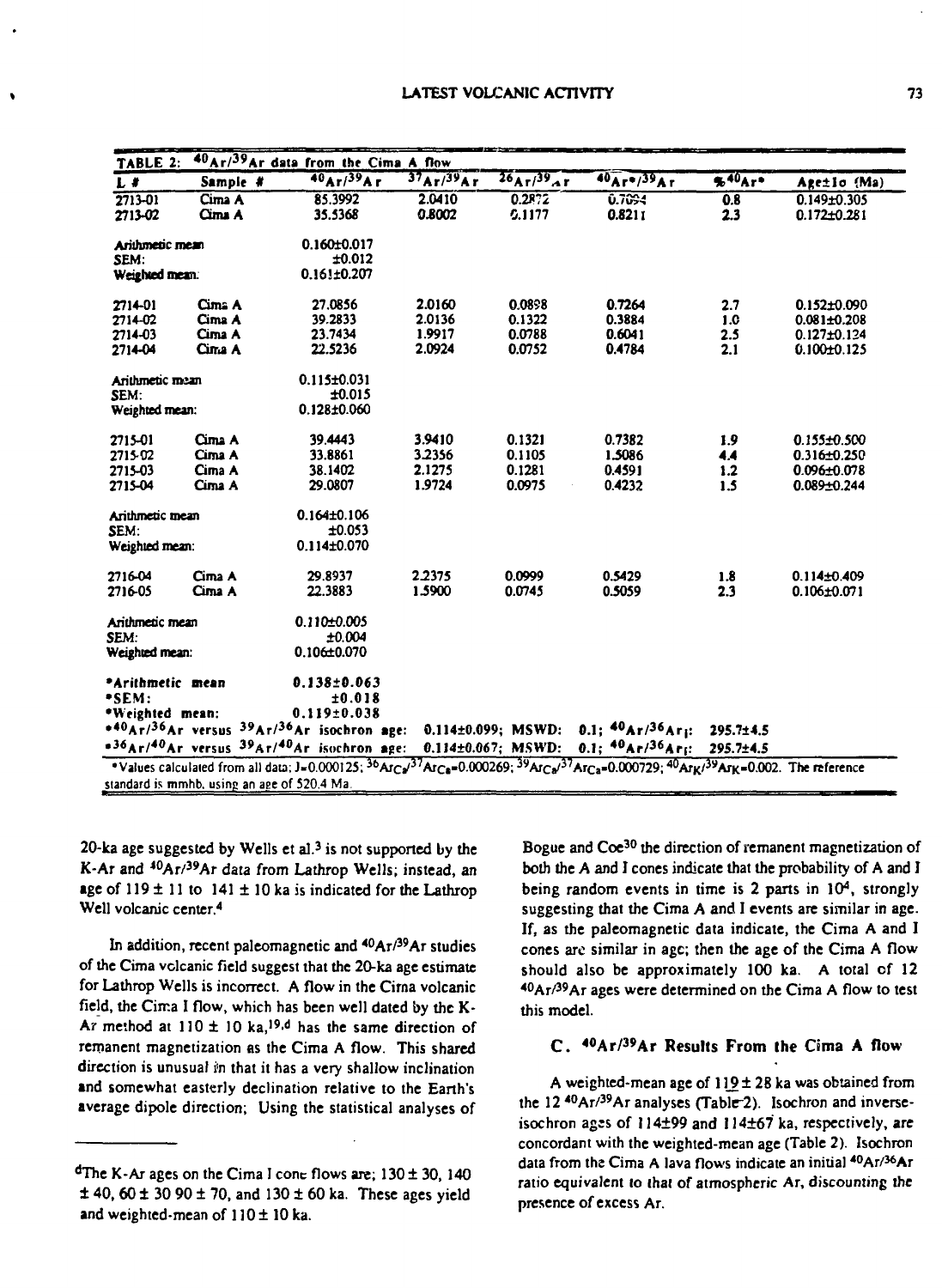| TABLE 2:         |                                             | 40Ar/39Ar data from the Cima A flow                                                          |           |                               |                                                                                                                                                                                                         |           |                   |
|------------------|---------------------------------------------|----------------------------------------------------------------------------------------------|-----------|-------------------------------|---------------------------------------------------------------------------------------------------------------------------------------------------------------------------------------------------------|-----------|-------------------|
| $L$ #            | Sample #                                    | $40$ Ar $/39$ Ar                                                                             | 37Ar/39Ar | $26\sqrt{10^{39} \text{A}}$ r | $40Ar$ $(39Ar)$                                                                                                                                                                                         | 540Ar     | Age±lo (Ma)       |
| $2713 - 01$      | Cima A                                      | 85.3992                                                                                      | 2.0410    | 0.2872                        | 0.7094                                                                                                                                                                                                  | 0.8       | $0.149 + 0.305$   |
| 2713-02          | Cima A                                      | 35.5368                                                                                      | 0.8002    | 0.1177                        | 0.8211                                                                                                                                                                                                  | 2.3       | $0.172 \pm 0.281$ |
| Arithmetic mean  |                                             | $0.160 + 0.017$                                                                              |           |                               |                                                                                                                                                                                                         |           |                   |
| SEM:             |                                             | ±0.012                                                                                       |           |                               |                                                                                                                                                                                                         |           |                   |
| Weighted mean.   |                                             | 0.161±0.207                                                                                  |           |                               |                                                                                                                                                                                                         |           |                   |
| 2714-01          | Cima A                                      | 27.0856                                                                                      | 2.0160    | 0.0898                        | 0.7264                                                                                                                                                                                                  | 2.7       | $0.152\pm0.090$   |
| 2714-02          | Cima A                                      | 39.2833                                                                                      | 2.0136    | 0.1322                        | 0.3884                                                                                                                                                                                                  | 1.0       | $0.081 + 0.208$   |
| 2714-03          | Cima A                                      | 23.7434                                                                                      | 1.9917    | 0.0788                        | 0.6041                                                                                                                                                                                                  | 2.5       | $0.127 \pm 0.124$ |
| 2714-04          | Cina A                                      | 22.5236                                                                                      | 2.0924    | 0.0752                        | 0.4784                                                                                                                                                                                                  | 2.1       | $0.100 + 0.125$   |
| Arithmetic mean  |                                             | $0.115 \pm 0.031$                                                                            |           |                               |                                                                                                                                                                                                         |           |                   |
| SEM:             |                                             | ±0.015                                                                                       |           |                               |                                                                                                                                                                                                         |           |                   |
| Weighted mean:   |                                             | 0.128±0.060                                                                                  |           |                               |                                                                                                                                                                                                         |           |                   |
| 2715-01          | Cima A                                      | 39.4443                                                                                      | 3.9410    | 0.1321                        | 0.7382                                                                                                                                                                                                  | 1.9       | $0.155 \pm 0.500$ |
| 2715-02          | Cima A                                      | 33.8861                                                                                      | 3.2356    | 0.1105                        | 1.5086                                                                                                                                                                                                  | 4.4       | $0.316 \pm 0.250$ |
| 2715-03          | Cima A                                      | 38.1402                                                                                      | 2.1275    | 0.1281                        | 0.4591                                                                                                                                                                                                  | 1.2       | $0.096 \pm 0.078$ |
| 2715-04          | Cima A                                      | 29.0807                                                                                      | 1.9724    | 0.0975                        | 0.4232                                                                                                                                                                                                  | 1.5       | $0.089 + 0.244$   |
| Arithmetic mean  |                                             | $0.164 \pm 0.106$                                                                            |           |                               |                                                                                                                                                                                                         |           |                   |
| SEM:             |                                             | ±0.053                                                                                       |           |                               |                                                                                                                                                                                                         |           |                   |
| Weighted mean:   |                                             | $0.114 \pm 0.070$                                                                            |           |                               |                                                                                                                                                                                                         |           |                   |
| 2716-04          | Cima A                                      | 29.8937                                                                                      | 2.2375    | 0.0999                        | 0.5429                                                                                                                                                                                                  | 1.8       | $0.114 \pm 0.409$ |
| 2716-05          | Cima A                                      | 22.3883                                                                                      | 1,5900    | 0.0745                        | 0.5059                                                                                                                                                                                                  | 2.3       | $0.106 \pm 0.071$ |
| Arithmetic mean  |                                             | $0.110 \pm 0.005$                                                                            |           |                               |                                                                                                                                                                                                         |           |                   |
| SEM:             |                                             | ±0.004                                                                                       |           |                               |                                                                                                                                                                                                         |           |                   |
| Weighted mean:   |                                             | $0.106 \pm 0.070$                                                                            |           |                               |                                                                                                                                                                                                         |           |                   |
| *Arithmetic mean |                                             | $0.138 \pm 0.063$                                                                            |           |                               |                                                                                                                                                                                                         |           |                   |
| •SEM:            |                                             | ±0.018                                                                                       |           |                               |                                                                                                                                                                                                         |           |                   |
| *Weighted mean:  |                                             | $0.119 \pm 0.038$                                                                            |           |                               |                                                                                                                                                                                                         |           |                   |
|                  |                                             | * <sup>40</sup> Ar/ <sup>36</sup> Ar versus <sup>39</sup> Ar/ <sup>36</sup> Ar isochron age: |           | $0.114 \pm 0.099$ : MSWD:     | $0.1;$ $40Ar/36Ar$ <sub>1</sub> :                                                                                                                                                                       | 295.7±4.5 |                   |
|                  |                                             | * <sup>36</sup> Ar/ <sup>40</sup> Ar versus <sup>39</sup> Ar/ <sup>40</sup> Ar isochron age: |           | $0.114 \pm 0.067$ ; MSWD:     | 0.1; $40Ar/36Ar$ ; 295.7±4.5                                                                                                                                                                            |           |                   |
|                  |                                             |                                                                                              |           |                               | *Values calculated from all data; J=0.000125; <sup>36</sup> ArCa <sup>37</sup> ArCa=0.000269; <sup>39</sup> ArCa <sup>37</sup> ArCa=0.000729; <sup>40</sup> Arki <sup>39</sup> ArK=0.002. The reference |           |                   |
|                  | standard is mmhb, using an age of 520.4 Ma. |                                                                                              |           |                               |                                                                                                                                                                                                         |           |                   |

**20-ka age suggested by Wells et al.<sup>3</sup> is not supported by the K-Ar and <sup>40</sup>Ar/<sup>39</sup>Ar data from Lathrop Wells; instead, an age of 119 ± 11 to 141 ± lOka is indicated for the Lathrop Well volcanic center.<sup>4</sup>**

**In addition, recent paleomagnetic and <sup>40</sup>Ar/<sup>39</sup>Ar studies of the Cima volcanic field suggest that the 20-ka age estimate for Lathrop Wells is incorrect. A flow in the Cirna volcanic field, the Cirr.a I flow, which has been well dated by the K-**Ar method at  $110 \pm 10$  ka,<sup>19,d</sup> has the same direction of **rernanent magnetization as the Cima A flow. This shared direction is unusual i; n that it has a very shallow inclination and somewhat easterly declination relative to the Earth's average dipole direction; Using the statistical analyses of**

**Bogue and Coe<sup>30</sup> the direction of rcmanent magnetization of both the A and I cones indicate that the probability of A and I being random events in time is 2 parts in 10<sup>4</sup> , strongly suggesting that the Cima A and I events are similar in age. If, as the paleomagnetic data indicate, the Cima A and I cones are similar in age; then the age of the Cima A flow should also be approximately 100 ka. A total of 12 <sup>40</sup>Ar/<sup>39</sup>Ar ages were determined on the Cima A flow to test this model.**

### **C. <sup>40</sup>Ar/ 3 9Ar Results From the Cima A flow**

**A weighted-mean age of 119 ± 28 ka was obtained from the 12 <sup>40</sup>Ar/<sup>39</sup>Ar analyses (Table-2). Isochron and inverse**isochron ages of 114±99 and 114±67 ka, respectively, are **concordant with the weighted-mean age (Table 2). Isochron data from the Cima A lava flows indicate an initial <sup>40</sup>Ar/<sup>36</sup>Ar ratio equivalent to (hai of atmospheric Ar, discounting the presence of excess AT.**

**<sup>d</sup>The K-Ar ages on the Cima I cone flows are; 130 ± 30, 140 ± 40,60 ± 30 90 ± 70, and 130 ± 60 ka. These ages yield and weighted-mean of 110 ± 10 ka.**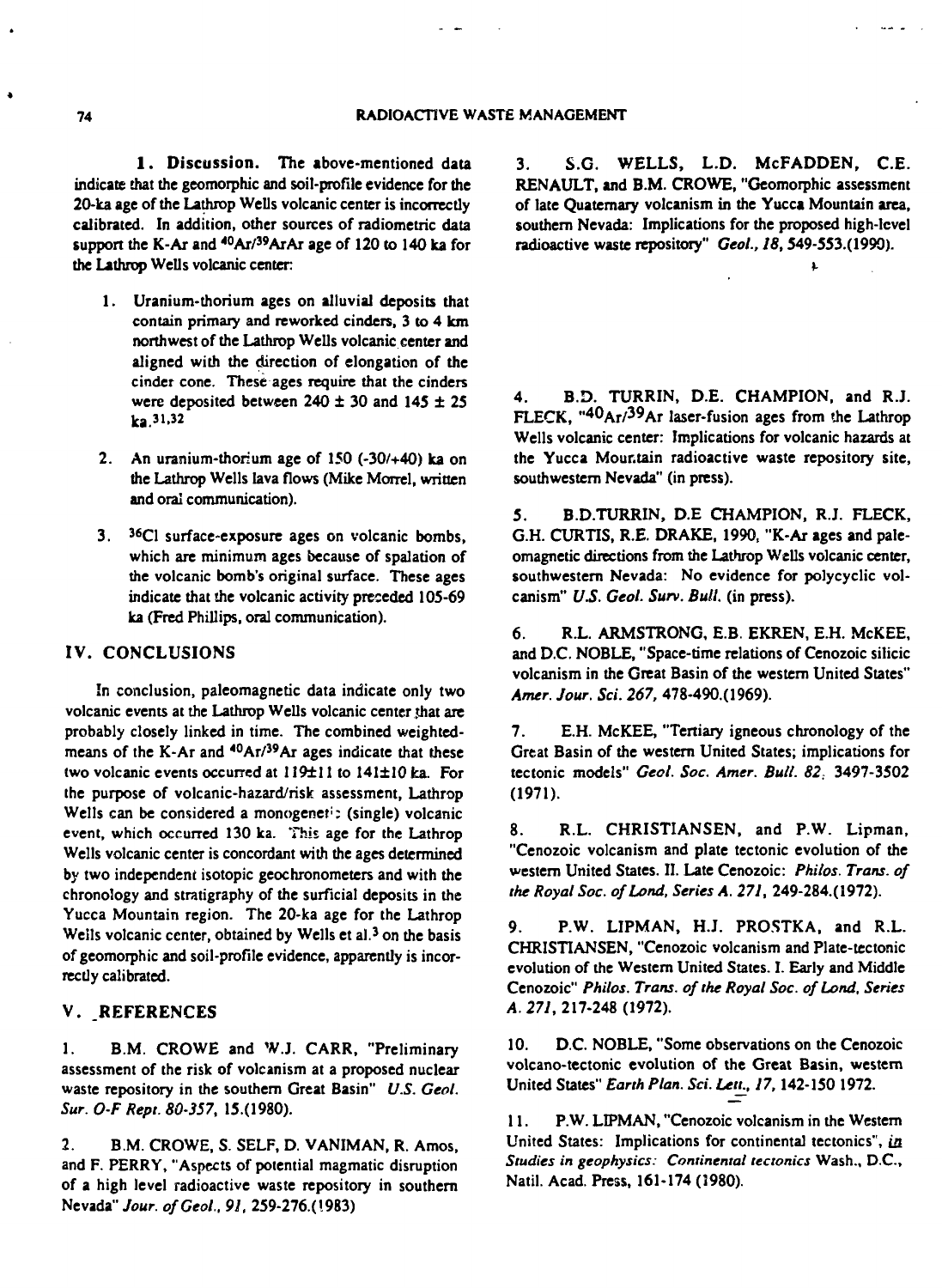**1 . Discussion. The above-mentioned data indicate chat the geomorphic and soil-profile evidence for the 20-ka age of the Lathrop Wells volcanic center is incorrectly calibrated. In addition, other sources of radiometric data** support the K-Ar and <sup>40</sup>Ar/<sup>39</sup>ArAr age of 120 to 140 ka for **the Lathrop Wells volcanic center**

- **1. Uranium-thorium ages on alluvial deposits that contain primary and reworked cinders, 3 to 4 km northwest of the Lathrop Wells volcanic center and aligned with the direction of elongation of the cinder cone. These ages require that the cinders** were deposited between  $240 \pm 30$  and  $145 \pm 25$ <br>ka.<sup>31,32</sup>
- **2. An uranium-thorium age of 150 (-30/+40) ka on the Lathrop Wells lava flows (Mike Morrel, written and oral communication).**
- **3. <sup>36</sup>C1 surface-exposure ages on volcanic bombs, which are minimum ages because of spalation of the volcanic bomb's original surface. These ages indicate that the volcanic activity preceded 105-69 ka (Fred Phillips, oral communication).**

#### **IV. CONCLUSIONS**

**In conclusion, paleomagnetic data indicate only two** volcanic events at the Lathrop Wells volcanic center that are **probably closely linked in time. The combined weightedmeans of the K-Ar and <sup>40</sup>Ar/<sup>39</sup>Ar ages indicate that these** two volcanic events occurred at 119±11 to 141±10 ka. For **the purpose of volcanic-hazard/risk assessment, Lathrop Wells can be considered a monogenet<sup>1</sup> : (single) volcanic event, which occurred 130 ka. This age for the Lathrop Wells volcanic center is concordant with the ages determined by two independent isotopic geochronometers and with the chronology and stratigraphy of the surficial deposits in the Yucca Mountain region. The 20-ka age for the Lathrop Weils volcanic center, obtained by Wells et al.<sup>3</sup> on the basis of geomorphic and soil-profile evidence, apparently is incorrectly calibrated.**

# **V. .REFERENCES**

**1. B.M. CROWE and W.J. CARR, "Preliminary assessment of the risk of volcanism at a proposed nuclear waste repository in the southern Great Basin"** *U.S. Ceoi. Sur. OF Rept. 80-357,* **15.(1980).**

**2. B.M. CROWE, S. SELF, D. VANIMAN, R. Amos, and F. PERRY, "Aspects of potential magmatic disruption of a high level radioactive waste repository in southern Nevada"** *Jour. ofGeoi, 91,* **259-276.(1983)**

**3. S.G. WELLS, L.D. McFADDEN, C.E. RENAULT, and B.M. CROWE, "Geomorphic assessment of late Quaternary volcanism in the Yucca Mountain area, southern Nevada: Implications for the proposed high-level radioactive waste repository"** *Geol., 18,***549-553.(1990).**

 $\sim$   $\sim$ 

**4. B.D. TURRIN, D.E. CHAMPION, and R.J. FLECK, "<sup>40</sup>Ar/<sup>3</sup> 9Ar laser-fusion ages from the Lathrop Wells volcanic center: Implications for volcanic hazards at the Yucca Mountain radioactive waste repository site, southwestern Nevada" (in press).**

**5. B.D.TURRIN, D.E CHAMPION, R.J. FLECK, G.H. CURTIS, R.E. DRAKE, 1990, "K-Ar ages and paleomagnetic directions from the Lathrop Wells volcanic center, southwestern Nevada: No evidence for polycyclic volcanism"** *US. Geol. Sum. Bull,* **(in press).**

**6. R.L. ARMSTRONG, E.B. EKREN, E.H. McKEE, and D.C. NOBLE, "Space-time relations of Cenozoic silicic volcanism in the Great Basin of the western United States"** *Amer. Jour. Sci. 267,* **478-490.(1969).**

**7. E.H. McKEE, "Tertiary igneous chronology of the Great Basin of the western United States; implications for tectonic models"** *Geol. Soc. Amer. Bull. 82,* **3497-3502 (1971).**

**8. R.L. CHRISTIANSEN, and P.W. Lipman, "Cenozoic volcanism and plate tectonic evolution of the western United States. II. Late Cenozoic:** *Philos. Trans, of the Royal Soc. of Land, Series A. 271,* **249-284.(1972).**

**9. P.W. LIPMAN, H.J. PROSTKA. and R.L. CHRISTIANSEN, "Cenozoic volcanism and Plate-tectonic evolution of the Western United States. I. Early and Middle Cenozoic"** *Philos. Trans, of the Royal Soc. of Land, Series A. 271,* **217-248 (1972).**

**10. D.C. NOBLE, "Some observations on the Cenozoic volcano-tectonic evolution of the Great Basin, western United States"** *Earth Plan. Sci. Letr, 17,***142-150 1972.**

**11. P.W. LIPMAN, "Cenozoic volcanism in the Western United States: Implications for continental tectonics",** *in Studies in geophysics: Continental tectonics* **Wash., D.C., Natil. Acad. Press, 161-174 (3980).**